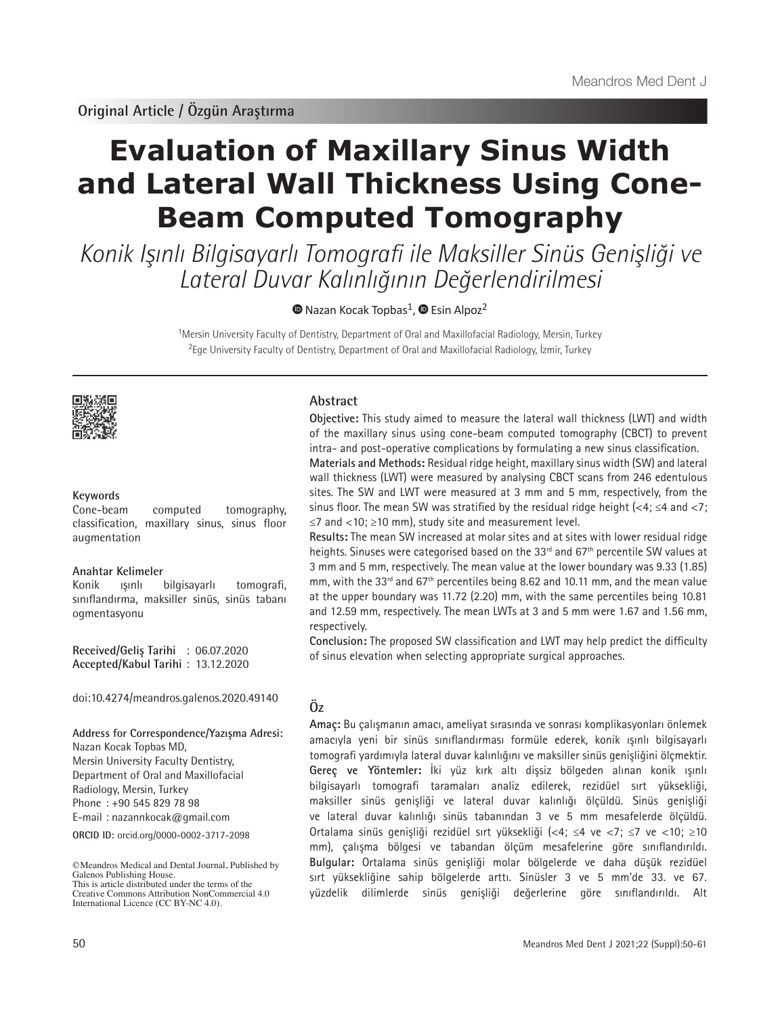# **Evaluation of Maxillary Sinus Width and Lateral Wall Thickness Using Cone-Beam Computed Tomography**

Konik Işınlı Bilgisayarlı Tomografi ile Maksiller Sinüs Genişliği ve Lateral Duvar Kalınlığının Değerlendirilmesi

 $\bullet$ Nazan Kocak Topbas<sup>1</sup>,  $\bullet$  Esin Alpoz<sup>2</sup>

<sup>1</sup>Mersin University Faculty of Dentistry, Department of Oral and Maxillofacial Radiology, Mersin, Turkey <sup>2</sup>Ege University Faculty of Dentistry, Department of Oral and Maxillofacial Radiology, İzmir, Turkey



### **Keywords**

Cone-beam computed tomography, classification, maxillary sinus, sinus floor augmentation

#### **Anahtar Kelimeler**

Konik ışınlı bilgisayarlı tomografi, sınıflandırma, maksiller sinüs, sinüs tabanı ogmentasyonu

**Received/Geliş Tarihi** : 06.07.2020 **Accepted/Kabul Tarihi** : 13.12.2020

doi:10.4274/meandros.galenos.2020.49140

**ORCID ID:** orcid.org/0000-0002-3717-2098 **Address for Correspondence/Yazışma Adresi:** Nazan Kocak Topbas MD, Mersin University Faculty Dentistry, Department of Oral and Maxillofacial Radiology, Mersin, Turkey Phone : +90 545 829 78 98 E-mail : nazannkocak@gmail.com

©Meandros Medical and Dental Journal, Published by Galenos Publishing House. This is article distributed under the terms of the

# **Abstract**

**Objective:** This study aimed to measure the lateral wall thickness (LWT) and width of the maxillary sinus using cone-beam computed tomography (CBCT) to prevent intra- and post-operative complications by formulating a new sinus classification.

**Materials and Methods:** Residual ridge height, maxillary sinus width (SW) and lateral wall thickness (LWT) were measured by analysing CBCT scans from 246 edentulous sites. The SW and LWT were measured at 3 mm and 5 mm, respectively, from the sinus floor. The mean SW was stratified by the residual ridge height (<4;  $\leq$ 4 and  $\lt$ 7; ≤7 and <10; ≥10 mm), study site and measurement level.

**Results:** The mean SW increased at molar sites and at sites with lower residual ridge heights. Sinuses were categorised based on the 33<sup>rd</sup> and 67<sup>th</sup> percentile SW values at 3 mm and 5 mm, respectively. The mean value at the lower boundary was 9.33 (1.85) mm, with the 33 $^{rd}$  and 67 $^{th}$  percentiles being 8.62 and 10.11 mm, and the mean value at the upper boundary was 11.72 (2.20) mm, with the same percentiles being 10.81 and 12.59 mm, respectively. The mean LWTs at 3 and 5 mm were 1.67 and 1.56 mm, respectively.

**Conclusion:** The proposed SW classification and LWT may help predict the difficulty of sinus elevation when selecting appropriate surgical approaches.

# **Öz**

**Amaç:** Bu çalışmanın amacı, ameliyat sırasında ve sonrası komplikasyonları önlemek amacıyla yeni bir sinüs sınıflandırması formüle ederek, konik ışınlı bilgisayarlı tomografi yardımıyla lateral duvar kalınlığını ve maksiller sinüs genişliğini ölçmektir. **Gereç ve Yöntemler:** İki yüz kırk altı dişsiz bölgeden alınan konik ışınlı bilgisayarlı tomografi taramaları analiz edilerek, rezidüel sırt yüksekliği, maksiller sinüs genişliği ve lateral duvar kalınlığı ölçüldü. Sinüs genişliği ve lateral duvar kalınlığı sinüs tabanından 3 ve 5 mm mesafelerde ölçüldü. Ortalama sinüs genişliği rezidüel sırt yüksekliği (<4; ≤4 ve <7; ≤7 ve <10; ≥10 mm), çalışma bölgesi ve tabandan ölçüm mesafelerine göre sınıflandırıldı. **Bulgular:** Ortalama sinüs genişliği molar bölgelerde ve daha düşük rezidüel sırt yüksekliğine sahip bölgelerde arttı. Sinüsler 3 ve 5 mm'de 33. ve 67. yüzdelik dilimlerde sinüs genişliği değerlerine göre sınıflandırıldı.

Creative Commons Attribution NonCommercial 4.0 International Licence (CC BY-NC 4.0).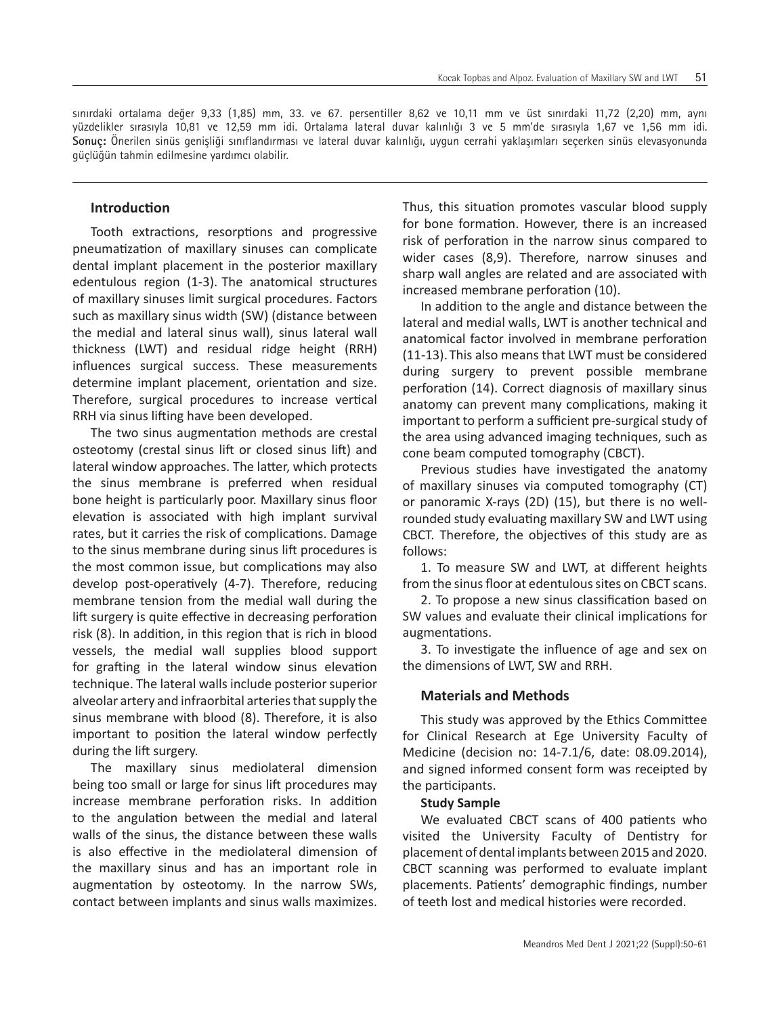sınırdaki ortalama değer 9,33 (1,85) mm, 33. ve 67. persentiller 8,62 ve 10,11 mm ve üst sınırdaki 11,72 (2,20) mm, aynı yüzdelikler sırasıyla 10,81 ve 12,59 mm idi. Ortalama lateral duvar kalınlığı 3 ve 5 mm'de sırasıyla 1,67 ve 1,56 mm idi. **Sonuç:** Önerilen sinüs genişliği sınıflandırması ve lateral duvar kalınlığı, uygun cerrahi yaklaşımları seçerken sinüs elevasyonunda güçlüğün tahmin edilmesine yardımcı olabilir.

#### **Introduction**

Tooth extractions, resorptions and progressive pneumatization of maxillary sinuses can complicate dental implant placement in the posterior maxillary edentulous region (1-3). The anatomical structures of maxillary sinuses limit surgical procedures. Factors such as maxillary sinus width (SW) (distance between the medial and lateral sinus wall), sinus lateral wall thickness (LWT) and residual ridge height (RRH) influences surgical success. These measurements determine implant placement, orientation and size. Therefore, surgical procedures to increase vertical RRH via sinus lifting have been developed.

The two sinus augmentation methods are crestal osteotomy (crestal sinus lift or closed sinus lift) and lateral window approaches. The latter, which protects the sinus membrane is preferred when residual bone height is particularly poor. Maxillary sinus floor elevation is associated with high implant survival rates, but it carries the risk of complications. Damage to the sinus membrane during sinus lift procedures is the most common issue, but complications may also develop post-operatively (4-7). Therefore, reducing membrane tension from the medial wall during the lift surgery is quite effective in decreasing perforation risk (8). In addition, in this region that is rich in blood vessels, the medial wall supplies blood support for grafting in the lateral window sinus elevation technique. The lateral walls include posterior superior alveolar artery and infraorbital arteries that supply the sinus membrane with blood (8). Therefore, it is also important to position the lateral window perfectly during the lift surgery.

The maxillary sinus mediolateral dimension being too small or large for sinus lift procedures may increase membrane perforation risks. In addition to the angulation between the medial and lateral walls of the sinus, the distance between these walls is also effective in the mediolateral dimension of the maxillary sinus and has an important role in augmentation by osteotomy. In the narrow SWs, contact between implants and sinus walls maximizes.

Thus, this situation promotes vascular blood supply for bone formation. However, there is an increased risk of perforation in the narrow sinus compared to wider cases (8,9). Therefore, narrow sinuses and sharp wall angles are related and are associated with increased membrane perforation (10).

In addition to the angle and distance between the lateral and medial walls, LWT is another technical and anatomical factor involved in membrane perforation (11-13).This also means that LWT must be considered during surgery to prevent possible membrane perforation (14). Correct diagnosis of maxillary sinus anatomy can prevent many complications, making it important to perform a sufficient pre-surgical study of the area using advanced imaging techniques, such as cone beam computed tomography (CBCT).

Previous studies have investigated the anatomy of maxillary sinuses via computed tomography (CT) or panoramic X-rays (2D) (15), but there is no wellrounded study evaluating maxillary SW and LWT using CBCT. Therefore, the objectives of this study are as follows:

1. To measure SW and LWT, at different heights from the sinus floor at edentulous sites on CBCT scans.

2. To propose a new sinus classification based on SW values and evaluate their clinical implications for augmentations.

3. To investigate the influence of age and sex on the dimensions of LWT, SW and RRH.

#### **Materials and Methods**

This study was approved by the Ethics Committee for Clinical Research at Ege University Faculty of Medicine (decision no: 14-7.1/6, date: 08.09.2014), and signed informed consent form was receipted by the participants.

#### **Study Sample**

We evaluated CBCT scans of 400 patients who visited the University Faculty of Dentistry for placement of dental implants between 2015 and 2020. CBCT scanning was performed to evaluate implant placements. Patients' demographic findings, number of teeth lost and medical histories were recorded.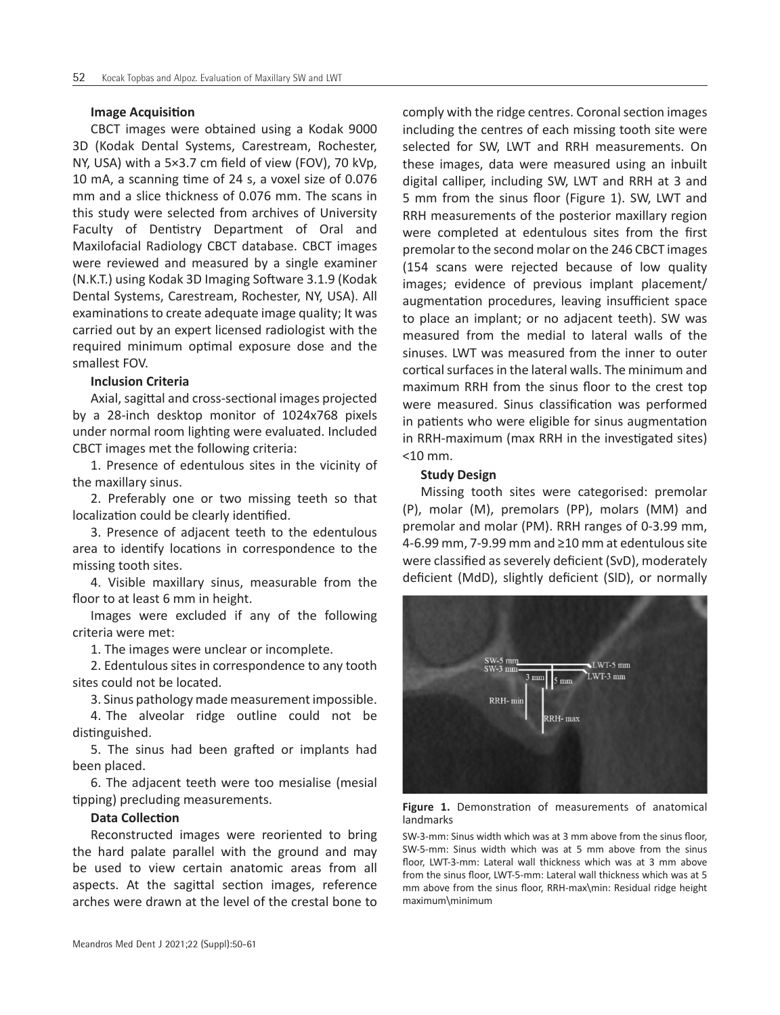#### **Image Acquisition**

CBCT images were obtained using a Kodak 9000 3D (Kodak Dental Systems, Carestream, Rochester, NY, USA) with a 5×3.7 cm field of view (FOV), 70 kVp, 10 mA, a scanning time of 24 s, a voxel size of 0.076 mm and a slice thickness of 0.076 mm. The scans in this study were selected from archives of University Faculty of Dentistry Department of Oral and Maxilofacial Radiology CBCT database. CBCT images were reviewed and measured by a single examiner (N.K.T.) using Kodak 3D Imaging Software 3.1.9 (Kodak Dental Systems, Carestream, Rochester, NY, USA). All examinations to create adequate image quality; It was carried out by an expert licensed radiologist with the required minimum optimal exposure dose and the smallest FOV.

# **Inclusion Criteria**

Axial, sagittal and cross-sectional images projected by a 28-inch desktop monitor of 1024x768 pixels under normal room lighting were evaluated. Included CBCT images met the following criteria:

1. Presence of edentulous sites in the vicinity of the maxillary sinus.

2. Preferably one or two missing teeth so that localization could be clearly identified.

3. Presence of adjacent teeth to the edentulous area to identify locations in correspondence to the missing tooth sites.

4. Visible maxillary sinus, measurable from the floor to at least 6 mm in height.

Images were excluded if any of the following criteria were met:

1. The images were unclear or incomplete.

2. Edentulous sites in correspondence to any tooth sites could not be located.

3. Sinus pathology made measurement impossible.

4. The alveolar ridge outline could not be distinguished.

5. The sinus had been grafted or implants had been placed.

6. The adjacent teeth were too mesialise (mesial tipping) precluding measurements.

#### **Data Collection**

Reconstructed images were reoriented to bring the hard palate parallel with the ground and may be used to view certain anatomic areas from all aspects. At the sagittal section images, reference arches were drawn at the level of the crestal bone to comply with the ridge centres. Coronal section images including the centres of each missing tooth site were selected for SW, LWT and RRH measurements. On these images, data were measured using an inbuilt digital calliper, including SW, LWT and RRH at 3 and 5 mm from the sinus floor (Figure 1). SW, LWT and RRH measurements of the posterior maxillary region were completed at edentulous sites from the first premolar to the second molar on the 246 CBCT images (154 scans were rejected because of low quality images; evidence of previous implant placement/ augmentation procedures, leaving insufficient space to place an implant; or no adjacent teeth). SW was measured from the medial to lateral walls of the sinuses. LWT was measured from the inner to outer cortical surfaces in the lateral walls. The minimum and maximum RRH from the sinus floor to the crest top were measured. Sinus classification was performed in patients who were eligible for sinus augmentation in RRH-maximum (max RRH in the investigated sites) <10 mm.

### **Study Design**

Missing tooth sites were categorised: premolar (P), molar (M), premolars (PP), molars (MM) and premolar and molar (PM). RRH ranges of 0-3.99 mm, 4-6.99 mm, 7-9.99 mm and ≥10 mm at edentulous site were classified as severely deficient (SvD), moderately deficient (MdD), slightly deficient (SlD), or normally



**Figure 1.** Demonstration of measurements of anatomical landmarks

SW-3-mm: Sinus width which was at 3 mm above from the sinus floor, SW-5-mm: Sinus width which was at 5 mm above from the sinus floor, LWT-3-mm: Lateral wall thickness which was at 3 mm above from the sinus floor, LWT-5-mm: Lateral wall thickness which was at 5 mm above from the sinus floor, RRH-max\min: Residual ridge height maximum\minimum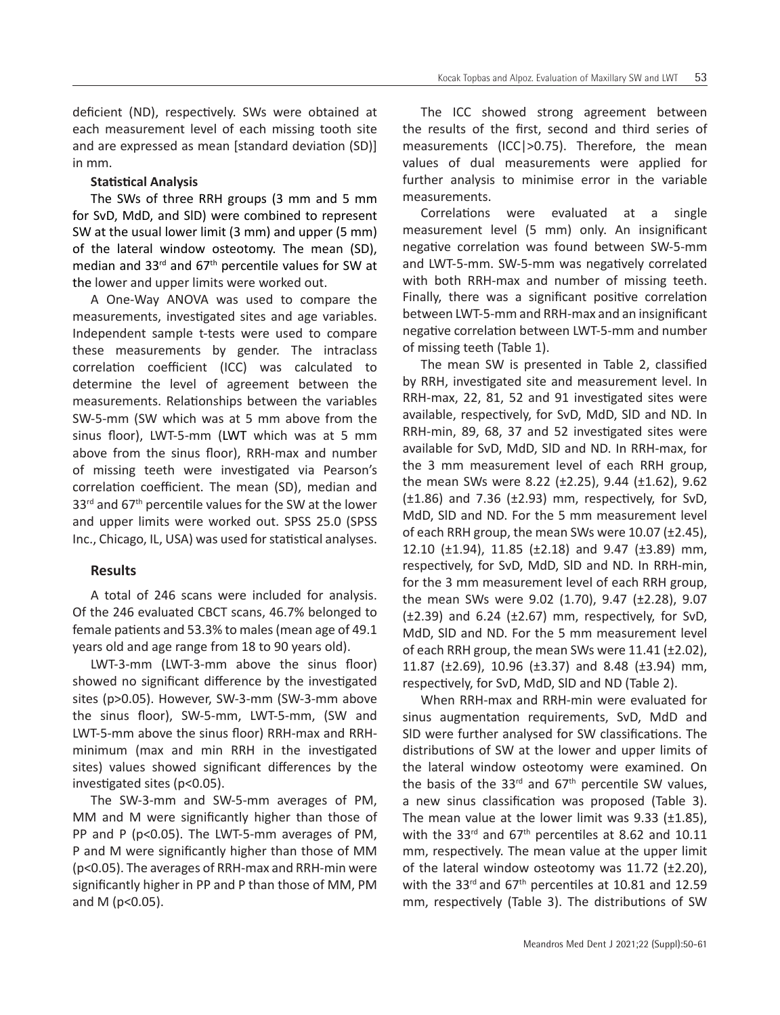deficient (ND), respectively. SWs were obtained at each measurement level of each missing tooth site and are expressed as mean [standard deviation (SD)] in mm.

# **Statistical Analysis**

The SWs of three RRH groups (3 mm and 5 mm for SvD, MdD, and SlD) were combined to represent SW at the usual lower limit (3 mm) and upper (5 mm) of the lateral window osteotomy. The mean (SD), median and  $33<sup>rd</sup>$  and  $67<sup>th</sup>$  percentile values for SW at the lower and upper limits were worked out.

A One-Way ANOVA was used to compare the measurements, investigated sites and age variables. Independent sample t-tests were used to compare these measurements by gender. The intraclass correlation coefficient (ICC) was calculated to determine the level of agreement between the measurements. Relationships between the variables SW-5-mm (SW which was at 5 mm above from the sinus floor), LWT-5-mm (LWT which was at 5 mm above from the sinus floor), RRH-max and number of missing teeth were investigated via Pearson's correlation coefficient. The mean (SD), median and 33<sup>rd</sup> and 67<sup>th</sup> percentile values for the SW at the lower and upper limits were worked out. SPSS 25.0 (SPSS Inc., Chicago, IL, USA) was used for statistical analyses.

# **Results**

A total of 246 scans were included for analysis. Of the 246 evaluated CBCT scans, 46.7% belonged to female patients and 53.3% to males (mean age of 49.1 years old and age range from 18 to 90 years old).

LWT-3-mm (LWT-3-mm above the sinus floor) showed no significant difference by the investigated sites (p>0.05). However, SW-3-mm (SW-3-mm above the sinus floor), SW-5-mm, LWT-5-mm, (SW and LWT-5-mm above the sinus floor) RRH-max and RRHminimum (max and min RRH in the investigated sites) values showed significant differences by the investigated sites (p<0.05).

The SW-3-mm and SW-5-mm averages of PM, MM and M were significantly higher than those of PP and P (p<0.05). The LWT-5-mm averages of PM, P and M were significantly higher than those of MM (p<0.05). The averages of RRH-max and RRH-min were significantly higher in PP and P than those of MM, PM and M (p<0.05).

The ICC showed strong agreement between the results of the first, second and third series of measurements (ICC|>0.75). Therefore, the mean values of dual measurements were applied for further analysis to minimise error in the variable measurements.

Correlations were evaluated at a single measurement level (5 mm) only. An insignificant negative correlation was found between SW-5-mm and LWT-5-mm. SW-5-mm was negatively correlated with both RRH-max and number of missing teeth. Finally, there was a significant positive correlation between LWT-5-mm and RRH-max and an insignificant negative correlation between LWT-5-mm and number of missing teeth (Table 1).

The mean SW is presented in Table 2, classified by RRH, investigated site and measurement level. In RRH-max, 22, 81, 52 and 91 investigated sites were available, respectively, for SvD, MdD, SlD and ND. In RRH-min, 89, 68, 37 and 52 investigated sites were available for SvD, MdD, SlD and ND. In RRH-max, for the 3 mm measurement level of each RRH group, the mean SWs were 8.22 (±2.25), 9.44 (±1.62), 9.62  $(\pm 1.86)$  and 7.36  $(\pm 2.93)$  mm, respectively, for SvD, MdD, SlD and ND. For the 5 mm measurement level of each RRH group, the mean SWs were  $10.07$  ( $\pm$ 2.45), 12.10 (±1.94), 11.85 (±2.18) and 9.47 (±3.89) mm, respectively, for SvD, MdD, SlD and ND. In RRH-min, for the 3 mm measurement level of each RRH group, the mean SWs were 9.02 (1.70), 9.47 ( $\pm$ 2.28), 9.07  $(\pm 2.39)$  and 6.24 ( $\pm 2.67$ ) mm, respectively, for SvD, MdD, SlD and ND. For the 5 mm measurement level of each RRH group, the mean SWs were  $11.41$  ( $\pm$ 2.02), 11.87 ( $\pm$ 2.69), 10.96 ( $\pm$ 3.37) and 8.48 ( $\pm$ 3.94) mm, respectively, for SvD, MdD, SlD and ND (Table 2).

When RRH-max and RRH-min were evaluated for sinus augmentation requirements, SvD, MdD and SlD were further analysed for SW classifications. The distributions of SW at the lower and upper limits of the lateral window osteotomy were examined. On the basis of the 33 $rd$  and 67 $th$  percentile SW values, a new sinus classification was proposed (Table 3). The mean value at the lower limit was  $9.33$  ( $\pm 1.85$ ), with the 33 $^{rd}$  and 67<sup>th</sup> percentiles at 8.62 and 10.11 mm, respectively. The mean value at the upper limit of the lateral window osteotomy was  $11.72$  ( $\pm$ 2.20), with the 33 $rd$  and 67<sup>th</sup> percentiles at 10.81 and 12.59 mm, respectively (Table 3). The distributions of SW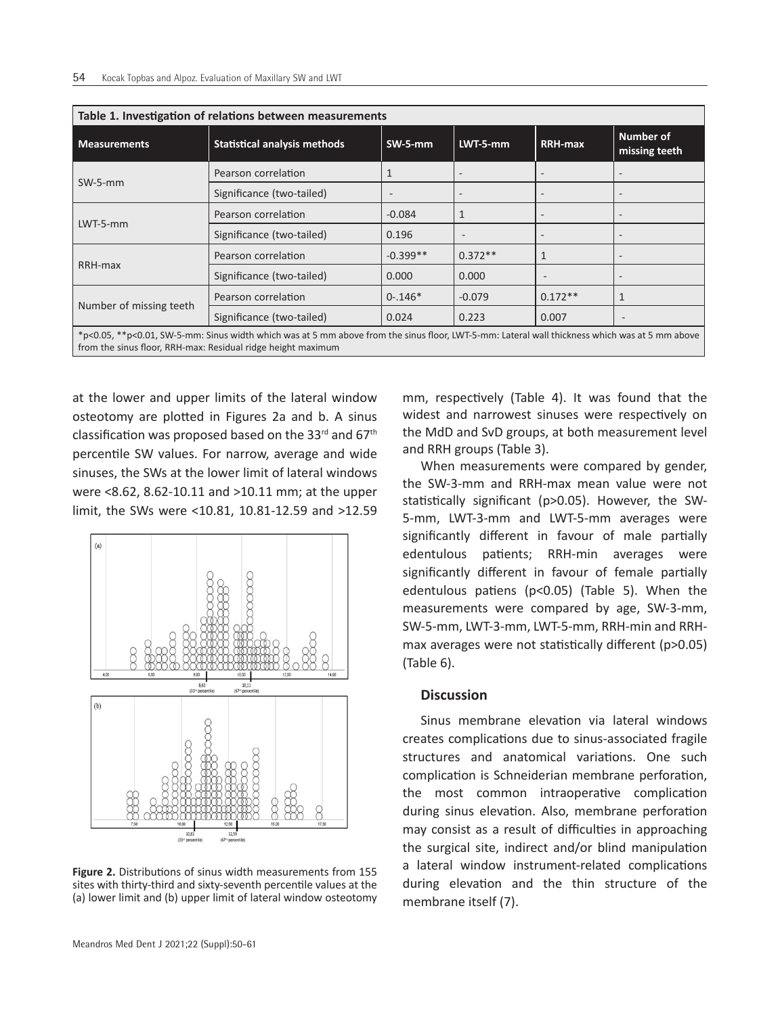| Table 1. Investigation of relations between measurements                                                                                                                                                       |                                     |            |           |                          |                            |  |  |
|----------------------------------------------------------------------------------------------------------------------------------------------------------------------------------------------------------------|-------------------------------------|------------|-----------|--------------------------|----------------------------|--|--|
| <b>Measurements</b>                                                                                                                                                                                            | <b>Statistical analysis methods</b> | $SW-5-mm$  | LWT-5-mm  | <b>RRH-max</b>           | Number of<br>missing teeth |  |  |
|                                                                                                                                                                                                                | Pearson correlation                 |            |           |                          |                            |  |  |
| $SW-5-mm$                                                                                                                                                                                                      | Significance (two-tailed)           |            |           |                          |                            |  |  |
| $LWT-5-mm$                                                                                                                                                                                                     | Pearson correlation                 | $-0.084$   | 1         |                          |                            |  |  |
|                                                                                                                                                                                                                | Significance (two-tailed)           | 0.196      |           |                          |                            |  |  |
| RRH-max                                                                                                                                                                                                        | Pearson correlation                 | $-0.399**$ | $0.372**$ | $\mathbf{1}$             |                            |  |  |
|                                                                                                                                                                                                                | Significance (two-tailed)           | 0.000      | 0.000     | $\overline{\phantom{a}}$ |                            |  |  |
| Number of missing teeth                                                                                                                                                                                        | Pearson correlation                 | $0 - 146*$ | $-0.079$  | $0.172**$                |                            |  |  |
|                                                                                                                                                                                                                | Significance (two-tailed)           | 0.024      | 0.223     | 0.007                    | $\overline{\phantom{a}}$   |  |  |
| *p<0.05, **p<0.01, SW-5-mm: Sinus width which was at 5 mm above from the sinus floor, LWT-5-mm: Lateral wall thickness which was at 5 mm above<br>from the sinus floor, RRH-max: Residual ridge height maximum |                                     |            |           |                          |                            |  |  |

at the lower and upper limits of the lateral window osteotomy are plotted in Figures 2a and b. A sinus classification was proposed based on the  $33<sup>rd</sup>$  and  $67<sup>th</sup>$ percentile SW values. For narrow, average and wide sinuses, the SWs at the lower limit of lateral windows were <8.62, 8.62-10.11 and >10.11 mm; at the upper limit, the SWs were <10.81, 10.81-12.59 and >12.59



**Figure 2.** Distributions of sinus width measurements from 155 sites with thirty-third and sixty-seventh percentile values at the (a) lower limit and (b) upper limit of lateral window osteotomy

mm, respectively (Table 4). It was found that the widest and narrowest sinuses were respectively on the MdD and SvD groups, at both measurement level and RRH groups (Table 3).

When measurements were compared by gender, the SW-3-mm and RRH-max mean value were not statistically significant (p>0.05). However, the SW-5-mm, LWT-3-mm and LWT-5-mm averages were significantly different in favour of male partially edentulous patients; RRH-min averages were significantly different in favour of female partially edentulous patiens (p<0.05) (Table 5). When the measurements were compared by age, SW-3-mm, SW-5-mm, LWT-3-mm, LWT-5-mm, RRH-min and RRHmax averages were not statistically different (p>0.05) (Table 6).

#### **Discussion**

Sinus membrane elevation via lateral windows creates complications due to sinus-associated fragile structures and anatomical variations. One such complication is Schneiderian membrane perforation, the most common intraoperative complication during sinus elevation. Also, membrane perforation may consist as a result of difficulties in approaching the surgical site, indirect and/or blind manipulation a lateral window instrument-related complications during elevation and the thin structure of the membrane itself (7).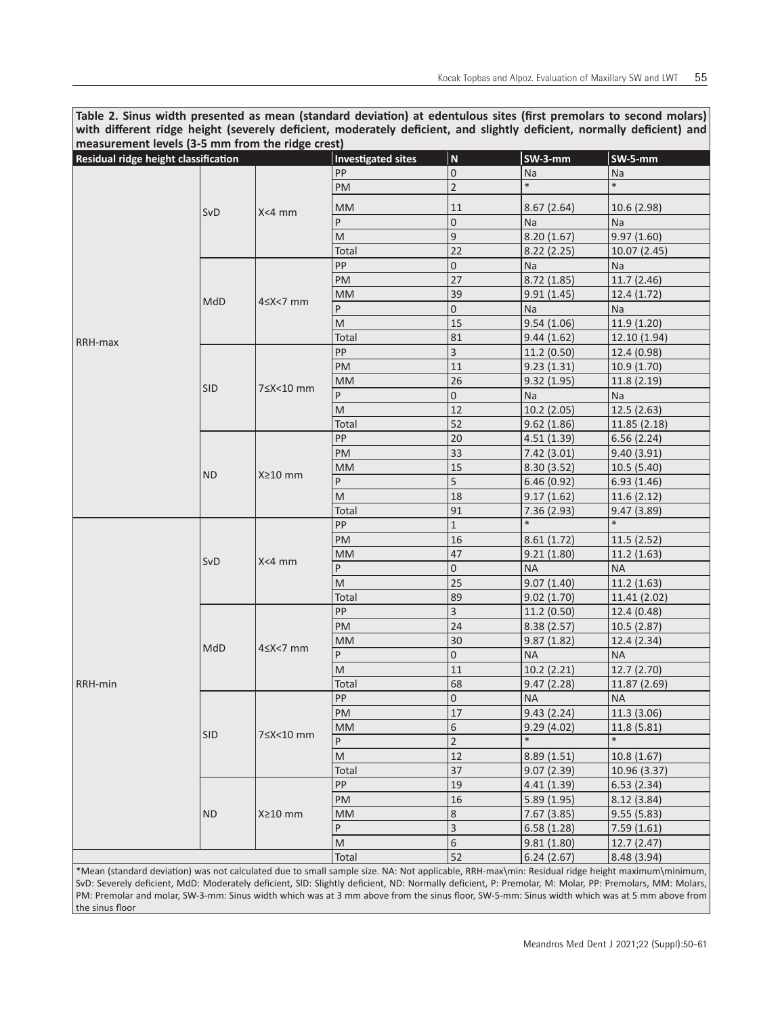**Table 2. Sinus width presented as mean (standard deviation) at edentulous sites (first premolars to second molars) with different ridge height (severely deficient, moderately deficient, and slightly deficient, normally deficient) and measurement levels (3-5 mm from the ridge crest)**

| 1.1<br>Residual ridge height classification |            |                  | <b>Investigated sites</b> | $\boldsymbol{\mathsf{N}}$ | $SW-3-mm$   | SW-5-mm      |
|---------------------------------------------|------------|------------------|---------------------------|---------------------------|-------------|--------------|
|                                             |            |                  | <b>PP</b>                 | $\mathbf 0$               | <b>Na</b>   | Na           |
|                                             |            |                  | PM                        | $\overline{c}$            | $\ast$      | $\ast$       |
|                                             |            |                  | <b>MM</b>                 | 11                        | 8.67(2.64)  | 10.6 (2.98)  |
|                                             | SvD        | $X<4$ mm         | P                         | $\boldsymbol{0}$          | <b>Na</b>   | Na           |
|                                             |            |                  | M                         | $\mathsf 9$               | 8.20(1.67)  | 9.97(1.60)   |
|                                             |            |                  | Total                     | 22                        | 8.22(2.25)  | 10.07 (2.45) |
|                                             |            |                  | PP                        | $\boldsymbol{0}$          | <b>Na</b>   | Na           |
|                                             | MdD        | $4 \le X < 7$ mm | PM                        | 27                        | 8.72 (1.85) | 11.7 (2.46)  |
|                                             |            |                  | <b>MM</b>                 | 39                        | 9.91(1.45)  | 12.4 (1.72)  |
|                                             |            |                  | P                         | $\boldsymbol{0}$          | <b>Na</b>   | Na           |
|                                             |            |                  | M                         | 15                        | 9.54(1.06)  | 11.9 (1.20)  |
|                                             |            |                  | Total                     | 81                        | 9.44(1.62)  | 12.10 (1.94) |
| RRH-max                                     |            |                  | PP                        | $\overline{3}$            | 11.2 (0.50) | 12.4 (0.98)  |
|                                             |            |                  | <b>PM</b>                 | 11                        | 9.23(1.31)  | 10.9(1.70)   |
|                                             |            |                  | <b>MM</b>                 | 26                        | 9.32(1.95)  | 11.8(2.19)   |
|                                             | <b>SID</b> | 7≤X<10 mm        | P                         | $\boldsymbol{0}$          | Na          | <b>Na</b>    |
|                                             |            |                  | M                         | 12                        | 10.2(2.05)  | 12.5(2.63)   |
|                                             |            |                  | Total                     | 52                        | 9.62(1.86)  | 11.85 (2.18) |
|                                             |            | X≥10 mm          | PP                        | 20                        | 4.51(1.39)  | 6.56(2.24)   |
|                                             |            |                  | PM                        | 33                        | 7.42(3.01)  | 9.40(3.91)   |
|                                             | <b>ND</b>  |                  | <b>MM</b>                 | 15                        | 8.30(3.52)  | 10.5(5.40)   |
|                                             |            |                  | P                         | 5                         | 6.46(0.92)  | 6.93(1.46)   |
|                                             |            |                  | M                         | 18                        | 9.17(1.62)  | 11.6(2.12)   |
|                                             |            |                  | Total                     | 91                        | 7.36(2.93)  | 9.47(3.89)   |
|                                             |            |                  | PP                        | $\mathbf 1$               | $\ast$      |              |
|                                             |            |                  | PM                        | 16                        | 8.61(1.72)  | 11.5(2.52)   |
|                                             |            |                  | <b>MM</b>                 | 47                        | 9.21(1.80)  | 11.2 (1.63)  |
|                                             | SvD        | $X<4$ mm         | P                         | $\boldsymbol{0}$          | <b>NA</b>   | <b>NA</b>    |
|                                             |            |                  | M                         | 25                        | 9.07(1.40)  | 11.2 (1.63)  |
|                                             |            |                  | Total                     | 89                        | 9.02(1.70)  | 11.41 (2.02) |
|                                             | MdD        |                  | PP                        | $\overline{3}$            | 11.2 (0.50) | 12.4 (0.48)  |
|                                             |            | $4 \le X < 7$ mm | PM                        | 24                        | 8.38(2.57)  | 10.5(2.87)   |
|                                             |            |                  | <b>MM</b>                 | 30                        | 9.87(1.82)  | 12.4 (2.34)  |
|                                             |            |                  | P                         | $\boldsymbol{0}$          | <b>NA</b>   | <b>NA</b>    |
|                                             |            |                  | ${\sf M}$                 | 11                        | 10.2(2.21)  | 12.7 (2.70)  |
| RRH-min                                     |            |                  | Total                     | 68                        | 9.47(2.28)  | 11.87 (2.69) |
|                                             | <b>SID</b> |                  | PP                        | $\mathbf 0$               | <b>NA</b>   | <b>NA</b>    |
|                                             |            |                  | PM                        | 17                        | 9.43(2.24)  | 11.3 (3.06)  |
|                                             |            | 7≤X<10 mm        | <b>MM</b>                 | 6                         | 9.29(4.02)  | 11.8 (5.81)  |
|                                             |            |                  | P                         | $\overline{2}$            |             |              |
|                                             |            |                  | ${\sf M}$                 | 12                        | 8.89(1.51)  | 10.8(1.67)   |
|                                             |            |                  | Total                     | 37                        | 9.07(2.39)  | 10.96 (3.37) |
|                                             | <b>ND</b>  | X≥10 mm          | PP                        | 19                        | 4.41(1.39)  | 6.53(2.34)   |
|                                             |            |                  | PM                        | 16                        | 5.89(1.95)  | 8.12(3.84)   |
|                                             |            |                  | <b>MM</b>                 | $\,8$                     | 7.67 (3.85) | 9.55(5.83)   |
|                                             |            |                  | P                         | $\mathsf 3$               | 6.58(1.28)  | 7.59(1.61)   |
|                                             |            |                  | M                         | 6                         | 9.81(1.80)  | 12.7 (2.47)  |
|                                             |            |                  | Total                     | 52                        | 6.24(2.67)  | 8.48 (3.94)  |

\*Mean (standard deviation) was not calculated due to small sample size. NA: Not applicable, RRH-max\min: Residual ridge height maximum\minimum, SvD: Severely deficient, MdD: Moderately deficient, SID: Slightly deficient, ND: Normally deficient, P: Premolar, M: Molar, PP: Premolars, MM: Molars, PM: Premolar and molar, SW-3-mm: Sinus width which was at 3 mm above from the sinus floor, SW-5-mm: Sinus width which was at 5 mm above from the sinus floor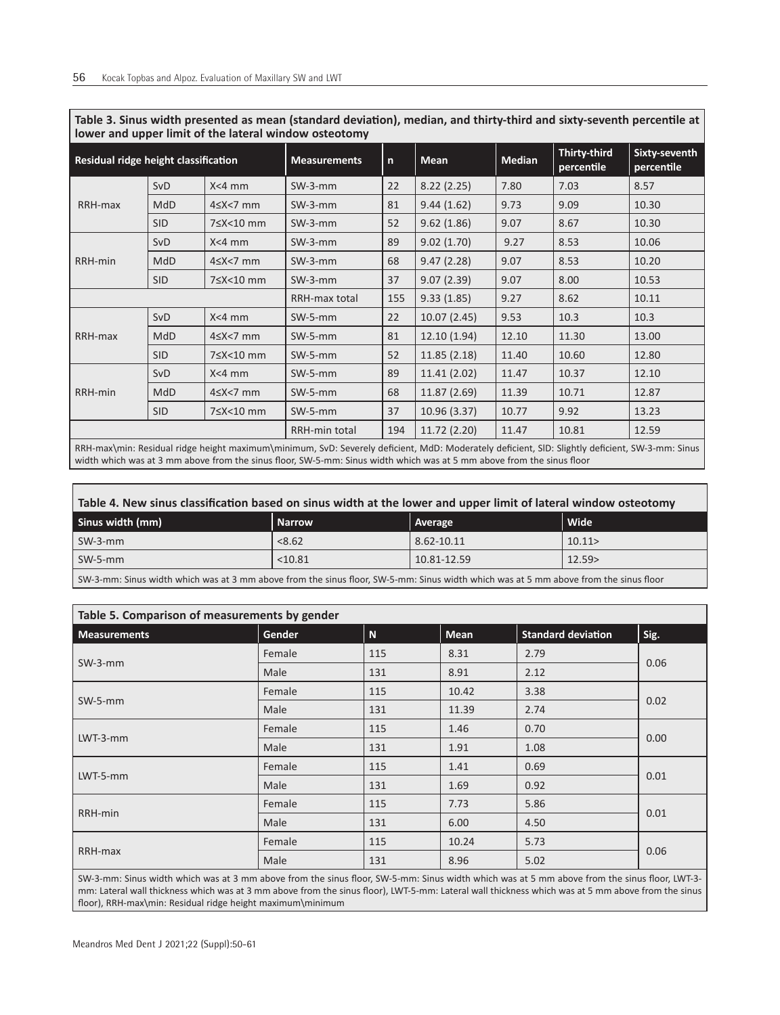| Tower and upper filmit of the fateral window osteotomy |            |                     |               |             |               |                            |                             |       |
|--------------------------------------------------------|------------|---------------------|---------------|-------------|---------------|----------------------------|-----------------------------|-------|
| Residual ridge height classification                   |            | <b>Measurements</b> | $\mathsf{n}$  | <b>Mean</b> | <b>Median</b> | Thirty-third<br>percentile | Sixty-seventh<br>percentile |       |
| RRH-max                                                | <b>SvD</b> | $X<4$ mm            | $SW-3-mm$     | 22          | 8.22(2.25)    | 7.80                       | 7.03                        | 8.57  |
|                                                        | MdD        | $4 \le X < 7$ mm    | $SW-3-mm$     | 81          | 9.44(1.62)    | 9.73                       | 9.09                        | 10.30 |
|                                                        | <b>SID</b> | 7≤X<10 mm           | $SW-3-mm$     | 52          | 9.62(1.86)    | 9.07                       | 8.67                        | 10.30 |
|                                                        | <b>SvD</b> | $X < 4$ mm          | $SW-3-mm$     | 89          | 9.02(1.70)    | 9.27                       | 8.53                        | 10.06 |
| RRH-min                                                | <b>MdD</b> | $4 \le X < 7$ mm    | $SW-3-mm$     | 68          | 9.47(2.28)    | 9.07                       | 8.53                        | 10.20 |
|                                                        | <b>SID</b> | 7≤X<10 mm           | $SW-3-mm$     | 37          | 9.07(2.39)    | 9.07                       | 8.00                        | 10.53 |
|                                                        |            | RRH-max total       | 155           | 9.33(1.85)  | 9.27          | 8.62                       | 10.11                       |       |
| RRH-max                                                | <b>SvD</b> | $X < 4$ mm          | $SW-5-mm$     | 22          | 10.07(2.45)   | 9.53                       | 10.3                        | 10.3  |
|                                                        | <b>MdD</b> | $4 \le X < 7$ mm    | $SW-5-mm$     | 81          | 12.10 (1.94)  | 12.10                      | 11.30                       | 13.00 |
|                                                        | <b>SID</b> | 7≤X<10 mm           | $SW-5-mm$     | 52          | 11.85(2.18)   | 11.40                      | 10.60                       | 12.80 |
| RRH-min                                                | SvD        | $X<4$ mm            | $SW-5-mm$     | 89          | 11.41 (2.02)  | 11.47                      | 10.37                       | 12.10 |
|                                                        | MdD        | $4 \le X \le 7$ mm  | $SW-5-mm$     | 68          | 11.87 (2.69)  | 11.39                      | 10.71                       | 12.87 |
|                                                        | <b>SID</b> | 7≤X<10 mm           | $SW-5-mm$     | 37          | 10.96 (3.37)  | 10.77                      | 9.92                        | 13.23 |
|                                                        |            |                     | RRH-min total | 194         | 11.72 (2.20)  | 11.47                      | 10.81                       | 12.59 |
|                                                        |            |                     |               |             |               |                            |                             |       |

**Table 3. Sinus width presented as mean (standard deviation), median, and thirty-third and sixty-seventh percentile at lower and upper limit of the lateral window osteotomy**

RRH-max\min: Residual ridge height maximum\minimum, SvD: Severely deficient, MdD: Moderately deficient, SlD: Slightly deficient, SW-3-mm: Sinus width which was at 3 mm above from the sinus floor, SW-5-mm: Sinus width which was at 5 mm above from the sinus floor

| Table 4. New sinus classification based on sinus width at the lower and upper limit of lateral window osteotomy                      |               |             |             |  |  |  |
|--------------------------------------------------------------------------------------------------------------------------------------|---------------|-------------|-------------|--|--|--|
| Sinus width (mm)                                                                                                                     | <b>Narrow</b> | Average     | <b>Wide</b> |  |  |  |
| $SW-3-mm$                                                                                                                            | < 8.62        | 8.62-10.11  | 10.11       |  |  |  |
| SW-5-mm                                                                                                                              | < 10.81       | 10.81-12.59 | 12.59>      |  |  |  |
| SW-3-mm: Sinus width which was at 3 mm above from the sinus floor, SW-5-mm: Sinus width which was at 5 mm above from the sinus floor |               |             |             |  |  |  |

| Table 5. Comparison of measurements by gender |        |             |             |                           |      |  |  |
|-----------------------------------------------|--------|-------------|-------------|---------------------------|------|--|--|
| <b>Measurements</b>                           | Gender | $\mathbf N$ | <b>Mean</b> | <b>Standard deviation</b> | Sig. |  |  |
| $SW-3-mm$                                     | Female | 115         | 8.31        | 2.79                      | 0.06 |  |  |
|                                               | Male   | 131         | 8.91        | 2.12                      |      |  |  |
| $SW-5-mm$                                     | Female | 115         | 10.42       | 3.38                      | 0.02 |  |  |
|                                               | Male   | 131         | 11.39       | 2.74                      |      |  |  |
| $LWT-3-mm$                                    | Female | 115         | 1.46        | 0.70                      | 0.00 |  |  |
|                                               | Male   | 131         | 1.91        | 1.08                      |      |  |  |
| $LWT-5-mm$                                    | Female | 115         | 1.41        | 0.69                      | 0.01 |  |  |
|                                               | Male   | 131         | 1.69        | 0.92                      |      |  |  |
| RRH-min                                       | Female | 115         | 7.73        | 5.86                      | 0.01 |  |  |
|                                               | Male   | 131         | 6.00        | 4.50                      |      |  |  |
|                                               | Female | 115         | 10.24       | 5.73                      |      |  |  |
| RRH-max                                       | Male   | 131         | 8.96        | 5.02                      | 0.06 |  |  |

SW-3-mm: Sinus width which was at 3 mm above from the sinus floor, SW-5-mm: Sinus width which was at 5 mm above from the sinus floor, LWT-3 mm: Lateral wall thickness which was at 3 mm above from the sinus floor), LWT-5-mm: Lateral wall thickness which was at 5 mm above from the sinus floor), RRH-max\min: Residual ridge height maximum\minimum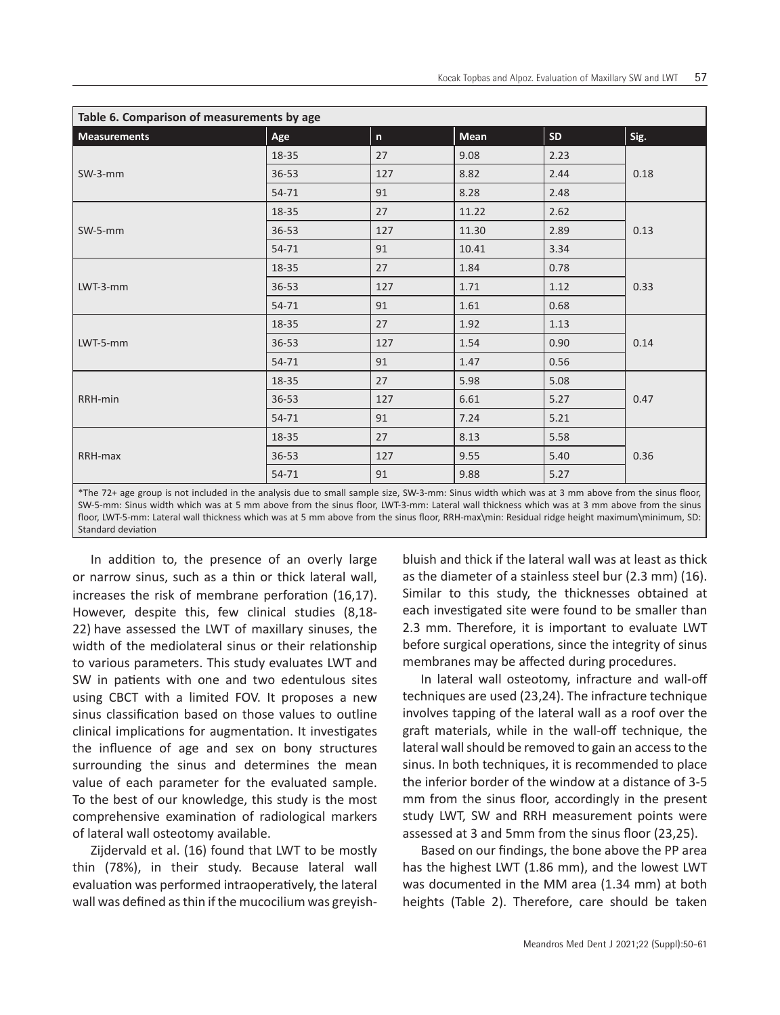| Table 6. Comparison of measurements by age                                                                                                      |           |     |       |      |      |  |
|-------------------------------------------------------------------------------------------------------------------------------------------------|-----------|-----|-------|------|------|--|
| <b>Measurements</b>                                                                                                                             | Age       | n   | Mean  | SD   | Sig. |  |
|                                                                                                                                                 | 18-35     | 27  | 9.08  | 2.23 | 0.18 |  |
| SW-3-mm                                                                                                                                         | $36 - 53$ | 127 | 8.82  | 2.44 |      |  |
|                                                                                                                                                 | 54-71     | 91  | 8.28  | 2.48 |      |  |
|                                                                                                                                                 | 18-35     | 27  | 11.22 | 2.62 |      |  |
| SW-5-mm                                                                                                                                         | $36 - 53$ | 127 | 11.30 | 2.89 | 0.13 |  |
|                                                                                                                                                 | 54-71     | 91  | 10.41 | 3.34 |      |  |
|                                                                                                                                                 | 18-35     | 27  | 1.84  | 0.78 | 0.33 |  |
| $LWT-3-mm$                                                                                                                                      | $36 - 53$ | 127 | 1.71  | 1.12 |      |  |
|                                                                                                                                                 | 54-71     | 91  | 1.61  | 0.68 |      |  |
|                                                                                                                                                 | 18-35     | 27  | 1.92  | 1.13 | 0.14 |  |
| LWT-5-mm                                                                                                                                        | $36 - 53$ | 127 | 1.54  | 0.90 |      |  |
|                                                                                                                                                 | 54-71     | 91  | 1.47  | 0.56 |      |  |
|                                                                                                                                                 | 18-35     | 27  | 5.98  | 5.08 | 0.47 |  |
| RRH-min                                                                                                                                         | $36 - 53$ | 127 | 6.61  | 5.27 |      |  |
|                                                                                                                                                 | 54-71     | 91  | 7.24  | 5.21 |      |  |
|                                                                                                                                                 | 18-35     | 27  | 8.13  | 5.58 |      |  |
| RRH-max                                                                                                                                         | $36 - 53$ | 127 | 9.55  | 5.40 | 0.36 |  |
|                                                                                                                                                 | 54-71     | 91  | 9.88  | 5.27 |      |  |
| *The 72+ age group is not included in the analysis due to small sample size, SW-3-mm: Sinus width which was at 3 mm above from the sinus floor, |           |     |       |      |      |  |

SW-5-mm: Sinus width which was at 5 mm above from the sinus floor, LWT-3-mm: Lateral wall thickness which was at 3 mm above from the sinus floor, LWT-5-mm: Lateral wall thickness which was at 5 mm above from the sinus floor, RRH-max\min: Residual ridge height maximum\minimum, SD: Standard deviation

In addition to, the presence of an overly large or narrow sinus, such as a thin or thick lateral wall, increases the risk of membrane perforation (16,17). However, despite this, few clinical studies (8,18- 22) have assessed the LWT of maxillary sinuses, the width of the mediolateral sinus or their relationship to various parameters. This study evaluates LWT and SW in patients with one and two edentulous sites using CBCT with a limited FOV. It proposes a new sinus classification based on those values to outline clinical implications for augmentation. It investigates the influence of age and sex on bony structures surrounding the sinus and determines the mean value of each parameter for the evaluated sample. To the best of our knowledge, this study is the most comprehensive examination of radiological markers of lateral wall osteotomy available.

Zijdervald et al. (16) found that LWT to be mostly thin (78%), in their study. Because lateral wall evaluation was performed intraoperatively, the lateral wall was defined as thin if the mucocilium was greyishbluish and thick if the lateral wall was at least as thick as the diameter of a stainless steel bur (2.3 mm) (16). Similar to this study, the thicknesses obtained at each investigated site were found to be smaller than 2.3 mm. Therefore, it is important to evaluate LWT before surgical operations, since the integrity of sinus membranes may be affected during procedures.

In lateral wall osteotomy, infracture and wall-off techniques are used (23,24). The infracture technique involves tapping of the lateral wall as a roof over the graft materials, while in the wall-off technique, the lateral wall should be removed to gain an access to the sinus. In both techniques, it is recommended to place the inferior border of the window at a distance of 3-5 mm from the sinus floor, accordingly in the present study LWT, SW and RRH measurement points were assessed at 3 and 5mm from the sinus floor (23,25).

Based on our findings, the bone above the PP area has the highest LWT (1.86 mm), and the lowest LWT was documented in the MM area (1.34 mm) at both heights (Table 2). Therefore, care should be taken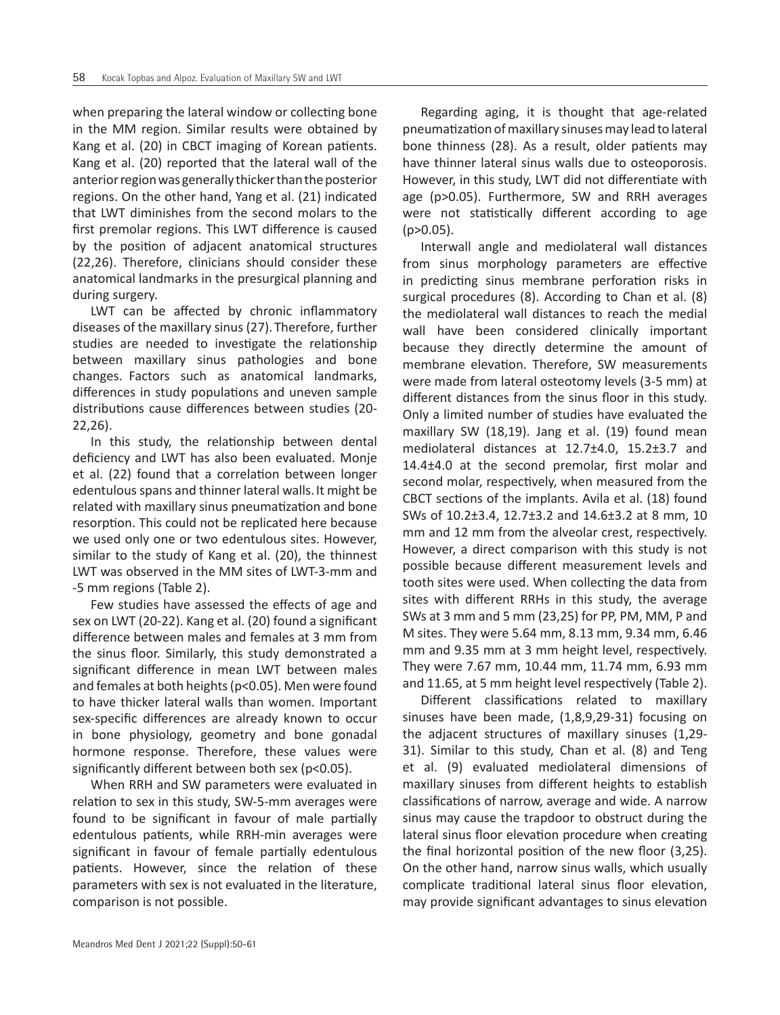when preparing the lateral window or collecting bone in the MM region. Similar results were obtained by Kang et al. (20) in CBCT imaging of Korean patients. Kang et al. (20) reported that the lateral wall of the anterior region was generally thicker than the posterior regions. On the other hand, Yang et al. (21) indicated that LWT diminishes from the second molars to the first premolar regions. This LWT difference is caused by the position of adjacent anatomical structures (22,26). Therefore, clinicians should consider these anatomical landmarks in the presurgical planning and during surgery.

LWT can be affected by chronic inflammatory diseases of the maxillary sinus (27).Therefore, further studies are needed to investigate the relationship between maxillary sinus pathologies and bone changes. Factors such as anatomical landmarks, differences in study populations and uneven sample distributions cause differences between studies (20- 22,26).

In this study, the relationship between dental deficiency and LWT has also been evaluated. Monje et al. (22) found that a correlation between longer edentulous spans and thinner lateral walls.It might be related with maxillary sinus pneumatization and bone resorption. This could not be replicated here because we used only one or two edentulous sites. However, similar to the study of Kang et al. (20), the thinnest LWT was observed in the MM sites of LWT-3-mm and -5 mm regions (Table 2).

Few studies have assessed the effects of age and sex on LWT (20-22). Kang et al. (20) found a significant difference between males and females at 3 mm from the sinus floor. Similarly, this study demonstrated a significant difference in mean LWT between males and females at both heights (p<0.05). Men were found to have thicker lateral walls than women. Important sex-specific differences are already known to occur in bone physiology, geometry and bone gonadal hormone response. Therefore, these values were significantly different between both sex (p<0.05).

When RRH and SW parameters were evaluated in relation to sex in this study, SW-5-mm averages were found to be significant in favour of male partially edentulous patients, while RRH-min averages were significant in favour of female partially edentulous patients. However, since the relation of these parameters with sex is not evaluated in the literature, comparison is not possible.

Regarding aging, it is thought that age-related pneumatization of maxillary sinuses may lead to lateral bone thinness (28). As a result, older patients may have thinner lateral sinus walls due to osteoporosis. However, in this study, LWT did not differentiate with age (p>0.05). Furthermore, SW and RRH averages were not statistically different according to age  $(p>0.05)$ .

Interwall angle and mediolateral wall distances from sinus morphology parameters are effective in predicting sinus membrane perforation risks in surgical procedures (8). According to Chan et al. (8) the mediolateral wall distances to reach the medial wall have been considered clinically important because they directly determine the amount of membrane elevation. Therefore, SW measurements were made from lateral osteotomy levels (3-5 mm) at different distances from the sinus floor in this study. Only a limited number of studies have evaluated the maxillary SW (18,19). Jang et al. (19) found mean mediolateral distances at 12.7±4.0, 15.2±3.7 and 14.4±4.0 at the second premolar, first molar and second molar, respectively, when measured from the CBCT sections of the implants. Avila et al. (18) found SWs of 10.2±3.4, 12.7±3.2 and 14.6±3.2 at 8 mm, 10 mm and 12 mm from the alveolar crest, respectively. However, a direct comparison with this study is not possible because different measurement levels and tooth sites were used. When collecting the data from sites with different RRHs in this study, the average SWs at 3 mm and 5 mm (23,25) for PP, PM, MM, P and M sites. They were 5.64 mm, 8.13 mm, 9.34 mm, 6.46 mm and 9.35 mm at 3 mm height level, respectively. They were 7.67 mm, 10.44 mm, 11.74 mm, 6.93 mm and 11.65, at 5 mm height level respectively (Table 2).

Different classifications related to maxillary sinuses have been made, (1,8,9,29-31) focusing on the adjacent structures of maxillary sinuses (1,29- 31). Similar to this study, Chan et al. (8) and Teng et al. (9) evaluated mediolateral dimensions of maxillary sinuses from different heights to establish classifications of narrow, average and wide. A narrow sinus may cause the trapdoor to obstruct during the lateral sinus floor elevation procedure when creating the final horizontal position of the new floor (3,25). On the other hand, narrow sinus walls, which usually complicate traditional lateral sinus floor elevation, may provide significant advantages to sinus elevation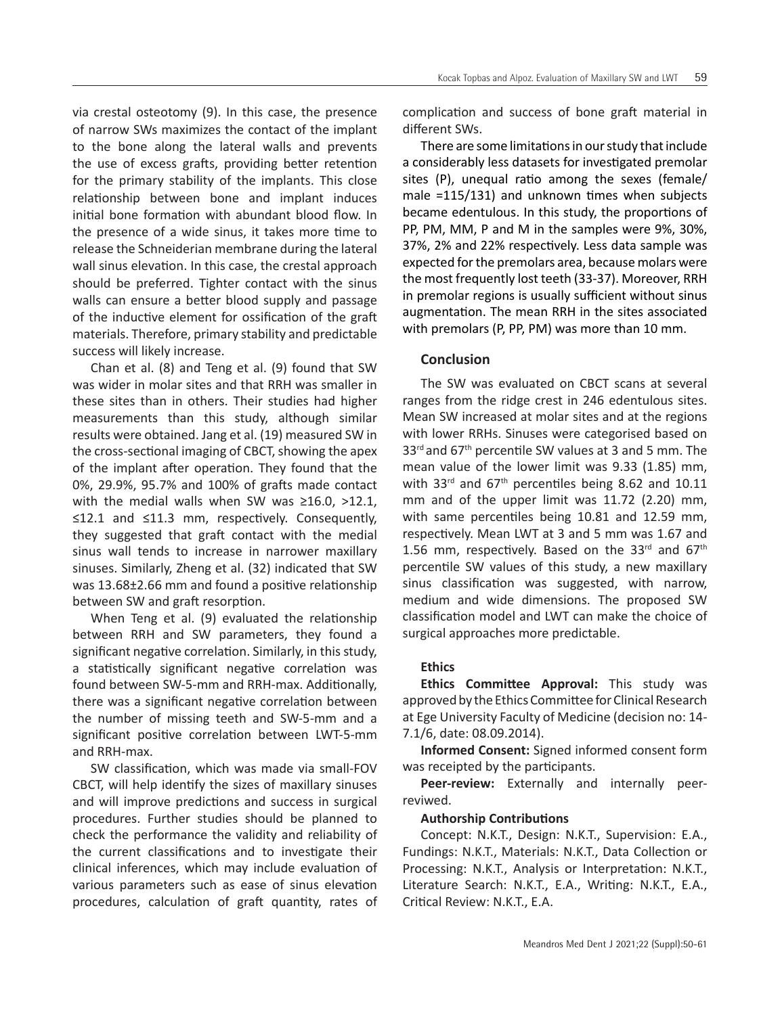via crestal osteotomy (9). In this case, the presence of narrow SWs maximizes the contact of the implant to the bone along the lateral walls and prevents the use of excess grafts, providing better retention for the primary stability of the implants. This close relationship between bone and implant induces initial bone formation with abundant blood flow. In the presence of a wide sinus, it takes more time to release the Schneiderian membrane during the lateral wall sinus elevation. In this case, the crestal approach should be preferred. Tighter contact with the sinus walls can ensure a better blood supply and passage of the inductive element for ossification of the graft materials. Therefore, primary stability and predictable success will likely increase.

Chan et al. (8) and Teng et al. (9) found that SW was wider in molar sites and that RRH was smaller in these sites than in others. Their studies had higher measurements than this study, although similar results were obtained. Jang et al. (19) measured SW in the cross-sectional imaging of CBCT, showing the apex of the implant after operation. They found that the 0%, 29.9%, 95.7% and 100% of grafts made contact with the medial walls when SW was ≥16.0, >12.1, ≤12.1 and ≤11.3 mm, respectively. Consequently, they suggested that graft contact with the medial sinus wall tends to increase in narrower maxillary sinuses. Similarly, Zheng et al. (32) indicated that SW was 13.68±2.66 mm and found a positive relationship between SW and graft resorption.

When Teng et al. (9) evaluated the relationship between RRH and SW parameters, they found a significant negative correlation. Similarly, in this study, a statistically significant negative correlation was found between SW-5-mm and RRH-max. Additionally, there was a significant negative correlation between the number of missing teeth and SW-5-mm and a significant positive correlation between LWT-5-mm and RRH-max.

SW classification, which was made via small-FOV CBCT, will help identify the sizes of maxillary sinuses and will improve predictions and success in surgical procedures. Further studies should be planned to check the performance the validity and reliability of the current classifications and to investigate their clinical inferences, which may include evaluation of various parameters such as ease of sinus elevation procedures, calculation of graft quantity, rates of complication and success of bone graft material in different SWs.

There are some limitations in our study that include a considerably less datasets for investigated premolar sites (P), unequal ratio among the sexes (female/ male =115/131) and unknown times when subjects became edentulous. In this study, the proportions of PP, PM, MM, P and M in the samples were 9%, 30%, 37%, 2% and 22% respectively. Less data sample was expected for the premolars area, because molars were the most frequently lost teeth (33-37). Moreover, RRH in premolar regions is usually sufficient without sinus augmentation. The mean RRH in the sites associated with premolars (P, PP, PM) was more than 10 mm.

# **Conclusion**

The SW was evaluated on CBCT scans at several ranges from the ridge crest in 246 edentulous sites. Mean SW increased at molar sites and at the regions with lower RRHs. Sinuses were categorised based on  $33<sup>rd</sup>$  and  $67<sup>th</sup>$  percentile SW values at 3 and 5 mm. The mean value of the lower limit was 9.33 (1.85) mm, with 33 $^{rd}$  and 67<sup>th</sup> percentiles being 8.62 and 10.11 mm and of the upper limit was 11.72 (2.20) mm, with same percentiles being 10.81 and 12.59 mm, respectively. Mean LWT at 3 and 5 mm was 1.67 and 1.56 mm, respectively. Based on the  $33<sup>rd</sup>$  and  $67<sup>th</sup>$ percentile SW values of this study, a new maxillary sinus classification was suggested, with narrow, medium and wide dimensions. The proposed SW classification model and LWT can make the choice of surgical approaches more predictable.

# **Ethics**

**Ethics Committee Approval:** This study was approved by the Ethics Committee for Clinical Research at Ege University Faculty of Medicine (decision no: 14- 7.1/6, date: 08.09.2014).

**Informed Consent:** Signed informed consent form was receipted by the participants.

**Peer-review:** Externally and internally peerreviwed.

#### **Authorship Contributions**

Concept: N.K.T., Design: N.K.T., Supervision: E.A., Fundings: N.K.T., Materials: N.K.T., Data Collection or Processing: N.K.T., Analysis or Interpretation: N.K.T., Literature Search: N.K.T., E.A., Writing: N.K.T., E.A., Critical Review: N.K.T., E.A.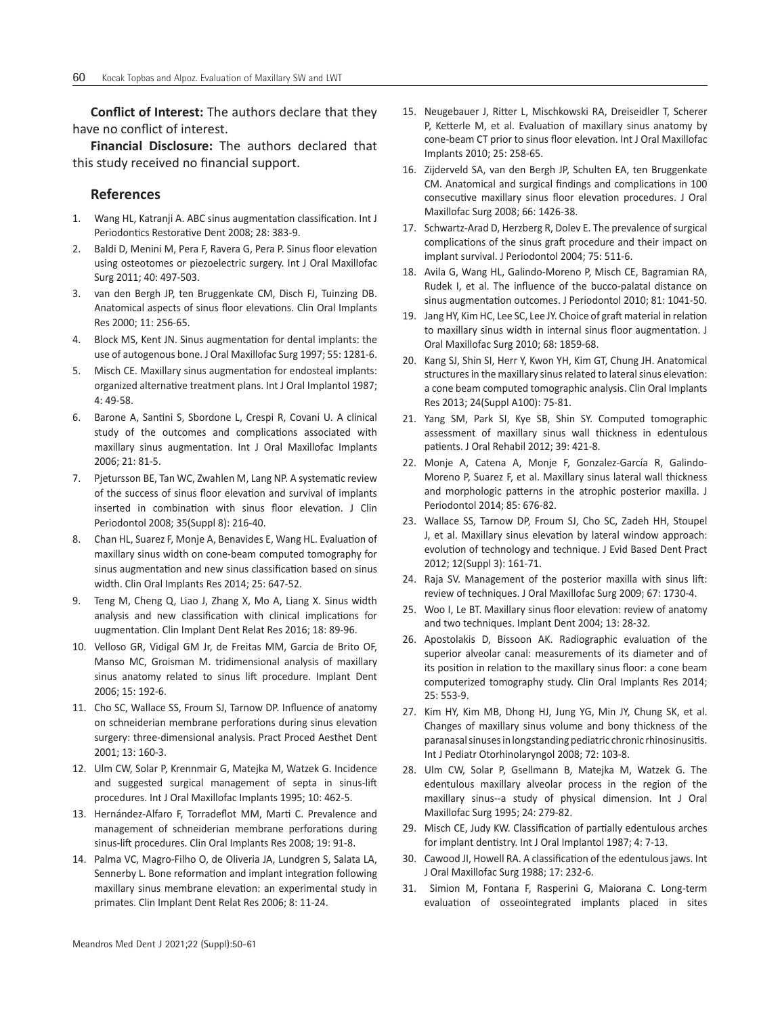**Conflict of Interest:** The authors declare that they have no conflict of interest.

**Financial Disclosure:** The authors declared that this study received no financial support.

# **References**

- 1. Wang HL, Katranji A. ABC sinus augmentation classification. Int J Periodontics Restorative Dent 2008; 28: 383-9.
- 2. Baldi D, Menini M, Pera F, Ravera G, Pera P. Sinus floor elevation using osteotomes or piezoelectric surgery. Int J Oral Maxillofac Surg 2011; 40: 497-503.
- 3. van den Bergh JP, ten Bruggenkate CM, Disch FJ, Tuinzing DB. Anatomical aspects of sinus floor elevations. Clin Oral Implants Res 2000; 11: 256-65.
- 4. Block MS, Kent JN. Sinus augmentation for dental implants: the use of autogenous bone. J Oral Maxillofac Surg 1997; 55: 1281-6.
- 5. Misch CE. Maxillary sinus augmentation for endosteal implants: organized alternative treatment plans. Int J Oral Implantol 1987; 4: 49-58.
- 6. Barone A, Santini S, Sbordone L, Crespi R, Covani U. A clinical study of the outcomes and complications associated with maxillary sinus augmentation. Int J Oral Maxillofac Implants 2006; 21: 81-5.
- 7. Pjetursson BE, Tan WC, Zwahlen M, Lang NP. A systematic review of the success of sinus floor elevation and survival of implants inserted in combination with sinus floor elevation. J Clin Periodontol 2008; 35(Suppl 8): 216-40.
- 8. Chan HL, Suarez F, Monje A, Benavides E, Wang HL. Evaluation of maxillary sinus width on cone-beam computed tomography for sinus augmentation and new sinus classification based on sinus width. Clin Oral Implants Res 2014; 25: 647-52.
- 9. Teng M, Cheng Q, Liao J, Zhang X, Mo A, Liang X. Sinus width analysis and new classification with clinical implications for uugmentation. Clin Implant Dent Relat Res 2016; 18: 89-96.
- 10. Velloso GR, Vidigal GM Jr, de Freitas MM, Garcia de Brito OF, Manso MC, Groisman M. tridimensional analysis of maxillary sinus anatomy related to sinus lift procedure. Implant Dent 2006; 15: 192-6.
- 11. Cho SC, Wallace SS, Froum SJ, Tarnow DP. Influence of anatomy on schneiderian membrane perforations during sinus elevation surgery: three-dimensional analysis. Pract Proced Aesthet Dent 2001; 13: 160-3.
- 12. Ulm CW, Solar P, Krennmair G, Matejka M, Watzek G. Incidence and suggested surgical management of septa in sinus-lift procedures. Int J Oral Maxillofac Implants 1995; 10: 462-5.
- 13. Hernández-Alfaro F, Torradeflot MM, Marti C. Prevalence and management of schneiderian membrane perforations during sinus-lift procedures. Clin Oral Implants Res 2008; 19: 91-8.
- 14. Palma VC, Magro-Filho O, de Oliveria JA, Lundgren S, Salata LA, Sennerby L. Bone reformation and implant integration following maxillary sinus membrane elevation: an experimental study in primates. Clin Implant Dent Relat Res 2006; 8: 11-24.
- 15. Neugebauer J, Ritter L, Mischkowski RA, Dreiseidler T, Scherer P, Ketterle M, et al. Evaluation of maxillary sinus anatomy by cone-beam CT prior to sinus floor elevation. Int J Oral Maxillofac Implants 2010; 25: 258-65.
- 16. Zijderveld SA, van den Bergh JP, Schulten EA, ten Bruggenkate CM. Anatomical and surgical findings and complications in 100 consecutive maxillary sinus floor elevation procedures. J Oral Maxillofac Surg 2008; 66: 1426-38.
- 17. Schwartz-Arad D, Herzberg R, Dolev E. The prevalence of surgical complications of the sinus graft procedure and their impact on implant survival. J Periodontol 2004; 75: 511-6.
- 18. Avila G, Wang HL, Galindo-Moreno P, Misch CE, Bagramian RA, Rudek I, et al. The influence of the bucco-palatal distance on sinus augmentation outcomes. J Periodontol 2010; 81: 1041-50.
- 19. Jang HY, Kim HC, Lee SC, Lee JY. Choice of graft material in relation to maxillary sinus width in internal sinus floor augmentation. J Oral Maxillofac Surg 2010; 68: 1859-68.
- 20. Kang SJ, Shin SI, Herr Y, Kwon YH, Kim GT, Chung JH. Anatomical structures in the maxillary sinus related to lateral sinus elevation: a cone beam computed tomographic analysis. Clin Oral Implants Res 2013; 24(Suppl A100): 75-81.
- 21. Yang SM, Park SI, Kye SB, Shin SY. Computed tomographic assessment of maxillary sinus wall thickness in edentulous patients. J Oral Rehabil 2012; 39: 421-8.
- 22. Monje A, Catena A, Monje F, Gonzalez-García R, Galindo-Moreno P, Suarez F, et al. Maxillary sinus lateral wall thickness and morphologic patterns in the atrophic posterior maxilla. J Periodontol 2014; 85: 676-82.
- 23. Wallace SS, Tarnow DP, Froum SJ, Cho SC, Zadeh HH, Stoupel J, et al. Maxillary sinus elevation by lateral window approach: evolution of technology and technique. J Evid Based Dent Pract 2012; 12(Suppl 3): 161-71.
- 24. Raja SV. Management of the posterior maxilla with sinus lift: review of techniques. J Oral Maxillofac Surg 2009; 67: 1730-4.
- 25. Woo I, Le BT. Maxillary sinus floor elevation: review of anatomy and two techniques. Implant Dent 2004; 13: 28-32.
- 26. Apostolakis D, Bissoon AK. Radiographic evaluation of the superior alveolar canal: measurements of its diameter and of its position in relation to the maxillary sinus floor: a cone beam computerized tomography study. Clin Oral Implants Res 2014; 25: 553-9.
- 27. Kim HY, Kim MB, Dhong HJ, Jung YG, Min JY, Chung SK, et al. Changes of maxillary sinus volume and bony thickness of the paranasal sinuses in longstanding pediatric chronic rhinosinusitis. Int J Pediatr Otorhinolaryngol 2008; 72: 103-8.
- 28. Ulm CW, Solar P, Gsellmann B, Matejka M, Watzek G. The edentulous maxillary alveolar process in the region of the maxillary sinus--a study of physical dimension. Int J Oral Maxillofac Surg 1995; 24: 279-82.
- 29. Misch CE, Judy KW. Classification of partially edentulous arches for implant dentistry. Int J Oral Implantol 1987; 4: 7-13.
- 30. Cawood JI, Howell RA. A classification of the edentulous jaws. Int J Oral Maxillofac Surg 1988; 17: 232-6.
- 31. Simion M, Fontana F, Rasperini G, Maiorana C. Long-term evaluation of osseointegrated implants placed in sites